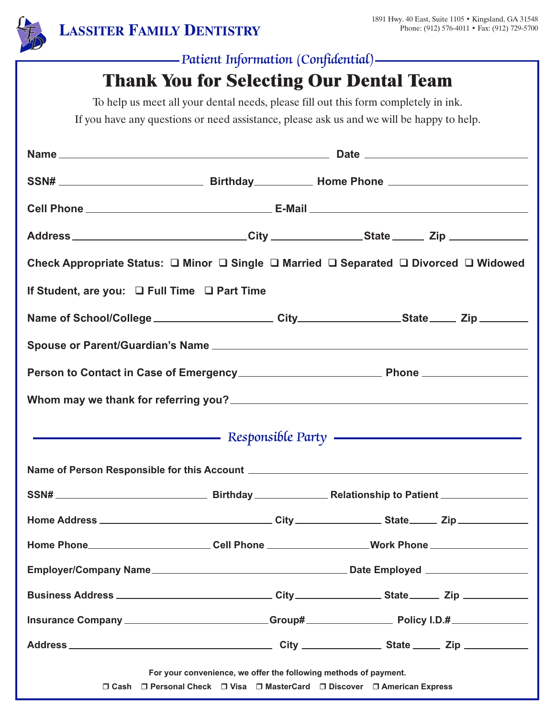

## *Patient Information (Confidential)*

# **Thank You for Selecting Our Dental Team**

To help us meet all your dental needs, please fill out this form completely in ink.

If you have any questions or need assistance, please ask us and we will be happy to help.

| Address _____________________________City ________________State ________Zip _______________________  |                                                                  |                                                                           |  |
|------------------------------------------------------------------------------------------------------|------------------------------------------------------------------|---------------------------------------------------------------------------|--|
| Check Appropriate Status: □ Minor □ Single □ Married □ Separated □ Divorced □ Widowed                |                                                                  |                                                                           |  |
| If Student, are you: □ Full Time □ Part Time                                                         |                                                                  |                                                                           |  |
| Name of School/College ________________________City __________________State ______ Zip __________    |                                                                  |                                                                           |  |
|                                                                                                      |                                                                  |                                                                           |  |
|                                                                                                      |                                                                  |                                                                           |  |
|                                                                                                      |                                                                  |                                                                           |  |
| Responsible Party <b>Committee Committee Committee Party</b>                                         |                                                                  |                                                                           |  |
|                                                                                                      |                                                                  |                                                                           |  |
|                                                                                                      |                                                                  |                                                                           |  |
|                                                                                                      |                                                                  |                                                                           |  |
| Home Phone_________________________Cell Phone ___________________Work Phone ________________________ |                                                                  |                                                                           |  |
|                                                                                                      |                                                                  |                                                                           |  |
|                                                                                                      |                                                                  |                                                                           |  |
| Insurance Company ______________________Group# __________________________________                    |                                                                  |                                                                           |  |
|                                                                                                      |                                                                  |                                                                           |  |
|                                                                                                      | For your convenience, we offer the following methods of payment. | □ Cash □ Personal Check □ Visa □ MasterCard □ Discover □ American Express |  |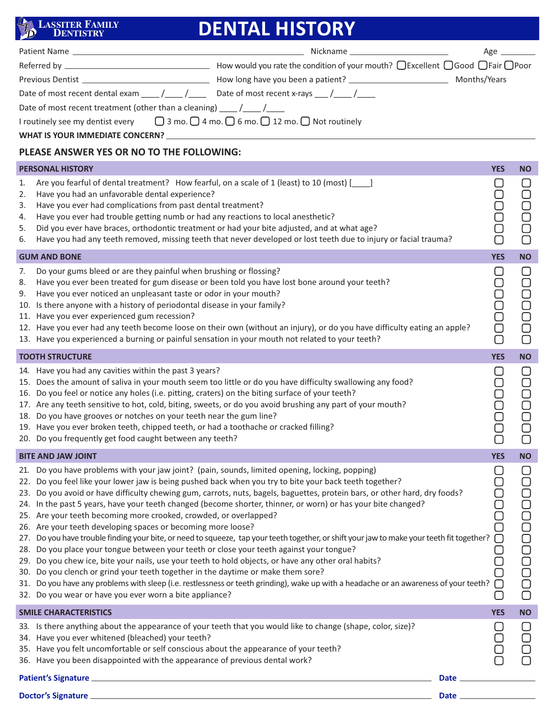## **LASSITER FAMILY DENTISTRY**

# **DENTAL HISTORY**

|                                                                                                            | Nickname ____________________________                                            | $Age \_$ |  |
|------------------------------------------------------------------------------------------------------------|----------------------------------------------------------------------------------|----------|--|
|                                                                                                            | How would you rate the condition of your mouth? □ Excellent □ Good □ Fair □ Poor |          |  |
| Previous Dentist Previous Contract Contract Contract Contract Contract Contract Contract Contract Co       |                                                                                  |          |  |
|                                                                                                            |                                                                                  |          |  |
| Date of most recent treatment (other than a cleaning) $\sqrt{2}$                                           |                                                                                  |          |  |
| I routinely see my dentist every $\Box$ 3 mo. $\Box$ 4 mo. $\Box$ 6 mo. $\Box$ 12 mo. $\Box$ Not routinely |                                                                                  |          |  |
| WHAT IS YOUR IMMEDIATE CONCERN?                                                                            |                                                                                  |          |  |

## **PLEASE ANSWER YES OR NO TO THE FOLLOWING:**

| <b>PERSONAL HISTORY</b>                                                                                                                                                                                                                                                                                                                                                                                                                                                                                                                                                                                                                                                                                                                                                                                                                                                                                                                                                                                                                                                                                                                                                                                                                  |  | <b>YES</b><br><b>NO</b>                                                                                                                                                    |
|------------------------------------------------------------------------------------------------------------------------------------------------------------------------------------------------------------------------------------------------------------------------------------------------------------------------------------------------------------------------------------------------------------------------------------------------------------------------------------------------------------------------------------------------------------------------------------------------------------------------------------------------------------------------------------------------------------------------------------------------------------------------------------------------------------------------------------------------------------------------------------------------------------------------------------------------------------------------------------------------------------------------------------------------------------------------------------------------------------------------------------------------------------------------------------------------------------------------------------------|--|----------------------------------------------------------------------------------------------------------------------------------------------------------------------------|
| 1.<br>Are you fearful of dental treatment? How fearful, on a scale of 1 (least) to 10 (most) [169]<br>Have you had an unfavorable dental experience?<br>2.<br>Have you ever had complications from past dental treatment?<br>3.<br>Have you ever had trouble getting numb or had any reactions to local anesthetic?<br>4.<br>Did you ever have braces, orthodontic treatment or had your bite adjusted, and at what age?<br>5.<br>Have you had any teeth removed, missing teeth that never developed or lost teeth due to injury or facial trauma?<br>6.                                                                                                                                                                                                                                                                                                                                                                                                                                                                                                                                                                                                                                                                                 |  | U<br>DOOD<br>0000<br>$\bigcirc$<br>О                                                                                                                                       |
| <b>GUM AND BONE</b>                                                                                                                                                                                                                                                                                                                                                                                                                                                                                                                                                                                                                                                                                                                                                                                                                                                                                                                                                                                                                                                                                                                                                                                                                      |  | <b>YES</b><br><b>NO</b>                                                                                                                                                    |
| Do your gums bleed or are they painful when brushing or flossing?<br>7.<br>Have you ever been treated for gum disease or been told you have lost bone around your teeth?<br>8.<br>Have you ever noticed an unpleasant taste or odor in your mouth?<br>9.<br>10. Is there anyone with a history of periodontal disease in your family?<br>11. Have you ever experienced gum recession?<br>12. Have you ever had any teeth become loose on their own (without an injury), or do you have difficulty eating an apple?<br>13. Have you experienced a burning or painful sensation in your mouth not related to your teeth?                                                                                                                                                                                                                                                                                                                                                                                                                                                                                                                                                                                                                   |  | $\Box$<br>$\cup$<br>$\Box$<br>$\bigcirc$<br>0000<br>00<br><b>DODD</b><br>$\Box$<br>$\overline{\bigcirc}$                                                                   |
| <b>TOOTH STRUCTURE</b>                                                                                                                                                                                                                                                                                                                                                                                                                                                                                                                                                                                                                                                                                                                                                                                                                                                                                                                                                                                                                                                                                                                                                                                                                   |  | <b>YES</b><br><b>NO</b>                                                                                                                                                    |
| 14. Have you had any cavities within the past 3 years?<br>15. Does the amount of saliva in your mouth seem too little or do you have difficulty swallowing any food?<br>16. Do you feel or notice any holes (i.e. pitting, craters) on the biting surface of your teeth?<br>17. Are any teeth sensitive to hot, cold, biting, sweets, or do you avoid brushing any part of your mouth?<br>18. Do you have grooves or notches on your teeth near the gum line?<br>19. Have you ever broken teeth, chipped teeth, or had a toothache or cracked filling?<br>20. Do you frequently get food caught between any teeth?                                                                                                                                                                                                                                                                                                                                                                                                                                                                                                                                                                                                                       |  | □<br>$\cup$<br>Ō<br>popopo<br>DOOO                                                                                                                                         |
| <b>BITE AND JAW JOINT</b>                                                                                                                                                                                                                                                                                                                                                                                                                                                                                                                                                                                                                                                                                                                                                                                                                                                                                                                                                                                                                                                                                                                                                                                                                |  | <b>YES</b><br><b>NO</b>                                                                                                                                                    |
| 21. Do you have problems with your jaw joint? (pain, sounds, limited opening, locking, popping)<br>22. Do you feel like your lower jaw is being pushed back when you try to bite your back teeth together?<br>23. Do you avoid or have difficulty chewing gum, carrots, nuts, bagels, baguettes, protein bars, or other hard, dry foods?<br>24. In the past 5 years, have your teeth changed (become shorter, thinner, or worn) or has your bite changed?<br>25. Are your teeth becoming more crooked, crowded, or overlapped?<br>26. Are your teeth developing spaces or becoming more loose?<br>27. Do you have trouble finding your bite, or need to squeeze, tap your teeth together, or shift your jaw to make your teeth fit together?<br>28. Do you place your tongue between your teeth or close your teeth against your tongue?<br>29. Do you chew ice, bite your nails, use your teeth to hold objects, or have any other oral habits?<br>30. Do you clench or grind your teeth together in the daytime or make them sore?<br>31. Do you have any problems with sleep (i.e. restlessness or teeth grinding), wake up with a headache or an awareness of your teeth?<br>32. Do you wear or have you ever worn a bite appliance? |  | U<br>$\cup$<br>popopo<br>00000<br>0000<br>$\bigcirc$<br>$\begin{array}{c} \square \\ \square \end{array}$<br>$\bigcirc$<br>◡<br>$\bigcirc$<br>$\Box$<br>∩<br>$\mathcal{L}$ |
| <b>SMILE CHARACTERISTICS</b>                                                                                                                                                                                                                                                                                                                                                                                                                                                                                                                                                                                                                                                                                                                                                                                                                                                                                                                                                                                                                                                                                                                                                                                                             |  | <b>YES</b><br><b>NO</b>                                                                                                                                                    |
| 33. Is there anything about the appearance of your teeth that you would like to change (shape, color, size)?<br>34. Have you ever whitened (bleached) your teeth?<br>35. Have you felt uncomfortable or self conscious about the appearance of your teeth?<br>36. Have you been disappointed with the appearance of previous dental work?                                                                                                                                                                                                                                                                                                                                                                                                                                                                                                                                                                                                                                                                                                                                                                                                                                                                                                |  | U<br>$\bigcirc$<br>$\begin{array}{c} \square \\ \square \end{array}$<br>$\Box$                                                                                             |
| Patient's Signature entrance and the state of the state of the state of the state of the state of the state of<br>Date $\_\_$                                                                                                                                                                                                                                                                                                                                                                                                                                                                                                                                                                                                                                                                                                                                                                                                                                                                                                                                                                                                                                                                                                            |  |                                                                                                                                                                            |
|                                                                                                                                                                                                                                                                                                                                                                                                                                                                                                                                                                                                                                                                                                                                                                                                                                                                                                                                                                                                                                                                                                                                                                                                                                          |  |                                                                                                                                                                            |